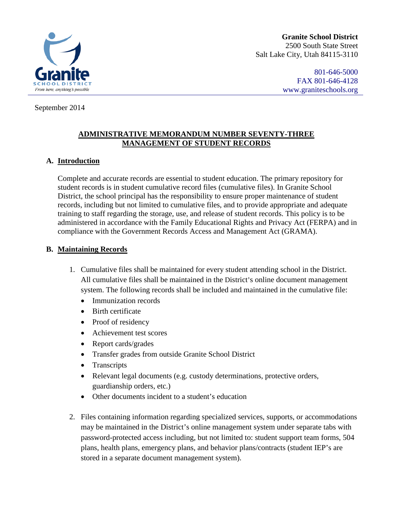

**Granite School District** 2500 South State Street Salt Lake City, Utah 84115-3110

> 801-646-5000 FAX 801-646-4128 [www.graniteschools.org](http://www.graniteschools.org/)

#### September 2014

### **ADMINISTRATIVE MEMORANDUM NUMBER SEVENTY-THREE MANAGEMENT OF STUDENT RECORDS**

### **A. Introduction**

Complete and accurate records are essential to student education. The primary repository for student records is in student cumulative record files (cumulative files). In Granite School District, the school principal has the responsibility to ensure proper maintenance of student records, including but not limited to cumulative files, and to provide appropriate and adequate training to staff regarding the storage, use, and release of student records. This policy is to be administered in accordance with the Family Educational Rights and Privacy Act (FERPA) and in compliance with the Government Records Access and Management Act (GRAMA).

#### **B. Maintaining Records**

- 1. Cumulative files shall be maintained for every student attending school in the District. All cumulative files shall be maintained in the District's online document management system. The following records shall be included and maintained in the cumulative file:
	- Immunization records
	- Birth certificate
	- Proof of residency
	- Achievement test scores
	- Report cards/grades
	- Transfer grades from outside Granite School District
	- Transcripts
	- Relevant legal documents (e.g. custody determinations, protective orders, guardianship orders, etc.)
	- Other documents incident to a student's education
- 2. Files containing information regarding specialized services, supports, or accommodations may be maintained in the District's online management system under separate tabs with password-protected access including, but not limited to: student support team forms, 504 plans, health plans, emergency plans, and behavior plans/contracts (student IEP's are stored in a separate document management system).